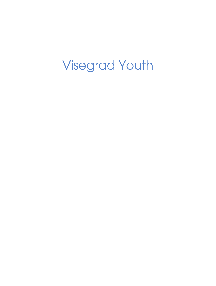## Visegrad Youth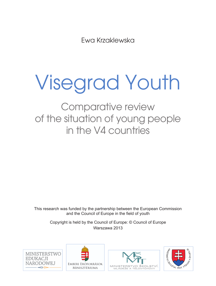Ewa Krzaklewska

# Visegrad Youth

Comparative review of the situation of young people in the V4 countries

This research was funded by the partnership between the European Commission and the Council of Europe in the field of youth

> Copyright is held by the Council of Europe: © Council of Europe Warszawa 2013







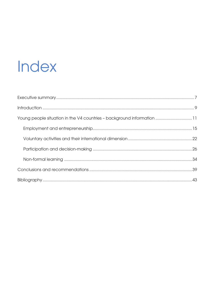## Index

| Young people situation in the V4 countries - background information 11 |  |
|------------------------------------------------------------------------|--|
|                                                                        |  |
|                                                                        |  |
|                                                                        |  |
|                                                                        |  |
|                                                                        |  |
|                                                                        |  |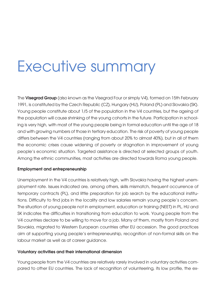## Executive summary

The Visegrad Group (also known as the Visegrad Four or simply V4), formed on 15th February 1991, is constituted by the Czech Republic (CZ), Hungary (HU), Poland (PL) and Slovakia (SK). Young people constitute about 1/5 of the population in the V4 countries, but the ageing of the population will cause shrinking of the young cohorts in the future. Participation in schooling is very high, with most of the young people being in formal education until the age of 18 and with growing numbers of those in tertiary education. The risk of poverty of young people differs between the V4 countries (ranging from about 20% to almost 40%), but in all of them the economic crises cause widening of poverty or stagnation in improvement of young people's economic situation. Targeted assistance is directed at selected groups of youth. Among the ethnic communities, most activities are directed towards Roma young people.

#### Employment and entrepreneurship

Unemployment in the V4 countries is relatively high, with Slovakia having the highest unemployment rate. Issues indicated are, among others, skills mismatch, frequent occurrence of temporary contracts (PL), and little preparation for job search by the educational institutions. Difficulty to find jobs in the locality and low salaries remain young people's concern. The situation of young people not in employment, education or training (NEET) in PL, HU and SK indicates the difficulties in transitioning from education to work. Young people from the V4 countries declare to be willing to move for a job. Many of them, mostly from Poland and Slovakia, migrated to Western European countries after EU accession. The good practices aim at supporting young people's entrepreneurship, recognition of non-formal skills on the labour market as well as at career guidance.

#### Voluntary activities and their international dimension

Young people from the V4 countries are relatively rarely involved in voluntary activities compared to other EU countries. The lack of recognition of volunteering, its low profile, the ex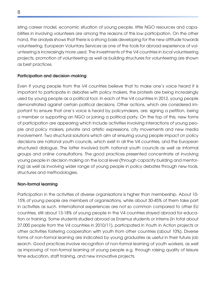isting career model, economic situation of young people, little NGO resources and capabilities in involving volunteers are among the reasons of this low participation. On the other hand, the analysis shows that there is a strong basis developing for the new attitude towards volunteering. European Voluntary Services as one of the tools for abroad experience of volunteering is increasingly more used. The investments of the V4 countries in local volunteering projects, promotion of volunteering as well as building structures for volunteering are shown as best practices.

#### Participation and decision-making

Even if young people from the V4 countries believe that to make one's voice heard it is important to participate in debates with policy makers, the protests are being increasingly used by young people as a political tool. In each of the V4 countries in 2012, young people demonstrated against certain political decisions. Other actions, which are considered important to ensure that one's voice is heard by policymakers, are: signing a petition, being a member or supporting an NGO or joining a political party. On the top of this, new forms of participation are appearing which include activities involving interactions of young people and policy makers, private and artistic expressions, city movements and new media involvement. Two structural solutions which aim at ensuring young people impact on policy decisions are national youth councils, which exist in all the V4 countries, and the European structured dialogue. The latter involved both national youth councils as well as informal groups and online consultations. The good practices presented concentrate at involving young people in decision making on the local level (through capacity building and mentoring) as well as involving wider range of young people in policy debates through new tools, structures and methodologies.

#### Non-formal learning

Participation in the activities of diverse organisations is higher than membership. About 10- 15% of young people are members of organisations, while about 30-45% of them take part in activities as such. International experiences are not so common compared to other EU countries, still about 13-18% of young people in the V4 countries stayed abroad for education or training. Some students studied abroad as Erasmus students or interns (in total about 27,000 people from the V4 countries in 2010/11), participated in Youth in Action projects or other activities fostering cooperation with youth from other countries (about 10%). Diverse forms of non-formal learning are indicated by young graduates as useful in their future job search. Good practices involve recognition of non-formal learning of youth workers, as well as improving of non-formal learning of young people e.g. through raising quality of leisure time education, staff training, and new innovative projects.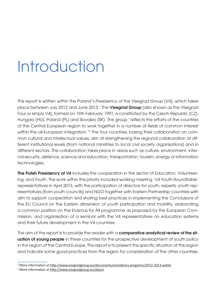## Introduction

This report is written within the Poland's Presidency of the Visegrad Group (V4), which takes place between July 2012 and June 2013.<sup>1</sup> The **Visegrad Group** (also known as the Visegrad Four or simply V4), formed on 15th February 1991, is constituted by the Czech Republic (CZ), Hungary (HU), Poland (PL) and Slovakia (SK). The group "reflects the efforts of the countries of the Central European region to work together in a number of fields of common interest within the all-European integration."2 The four countries, basing their collaboration on common cultural and intellectual values, aim at strengthening the regional collaboration at different institutional levels (from national ministries to local civil society organisations) and in different sectors. The collaboration takes place in areas such as culture, environment, internal security, defence, science and education, transportation, tourism, energy or information technologies.

The Polish Presidency of V4 includes the cooperation in the sector of Education, Volunteering, and Youth. The work within this priority included working meeting 'V4 Youth Roundtable' representatives in April 2013, with the participation of directors for youth, experts, youth representatives (from youth councils) and NGO together with Eastern Partnership countries with aim to support cooperation and sharing best practices in implementing the Conclusions of the EU Council on the Eastern dimension of youth participation and mobility; elaborating a common position on the Erasmus for All programme as proposed by the European Commission, and organisation of a seminar with the V4 representatives on education systems and their future development in the V4 countries.

The aim of the report is to provide the reader with a **comparative analytical review of the sit**uation of young people in these countries for the prospective development of youth policy in the region of the Central Europe. The report is to present the specific situation of this region and indicate some good practices from the region for consideration of the other countries.

<sup>&</sup>lt;sup>1</sup> More information at http://www.visegradgroup.eu/documents/presidency-programs/2012-2013-polish

<sup>&</sup>lt;sup>2</sup> More information at http://www.visegradgroup.eu/about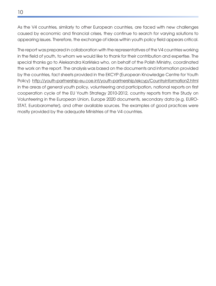As the V4 countries, similarly to other European countries, are faced with new challenges caused by economic and financial crises, they continue to search for varying solutions to appearing issues. Therefore, the exchange of ideas within youth policy field appears critical.

The report was prepared in collaboration with the representatives of the V4 countries working in the field of youth, to whom we would like to thank for their contribution and expertise. The special thanks go to Aleksandra Karlińska who, on behalf of the Polish Ministry, coordinated the work on the report. The analysis was based on the documents and information provided by the countries, fact sheets provided in the EKCYP (European Knowledge Centre for Youth Policy) http://youth-partnership-eu.coe.int/youth-partnership/ekcyp/Countryinformation2.html in the areas of general youth policy, volunteering and participation, national reports on first cooperation cycle of the EU Youth Strategy 2010-2012, country reports from the Study on Volunteering in the European Union, Europe 2020 documents, secondary data (e.g. EURO-STAT, Eurobarometer), and other available sources. The examples of good practices were mostly provided by the adequate Ministries of the V4 countries.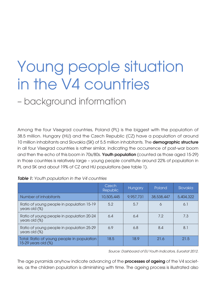## Young people situation in the V4 countries

### – background information

Among the four Visegrad countries, Poland (PL) is the biggest with the population of 38.5 million. Hungary (HU) and the Czech Republic (CZ) have a population of around 10 million inhabitants and Slovakia (SK) of 5.5 million inhabitants. The **demographic structure** in all four Visegrad countries is rather similar, indicating the occurrence of post-war boom and then the echo of this boom in 70s/80s. Youth population (counted as those aged 15-29) in those countries is relatively large – young people constitute around 22% of population in PL and SK and about 19% of CZ and HU populations (see table 1).

|                                                                   | Czech<br><b>Republic</b> | Hungary   | Poland     | Slovakia  |
|-------------------------------------------------------------------|--------------------------|-----------|------------|-----------|
| Number of inhabitants                                             | 10,505,445               | 9,957,731 | 38,538,447 | 5,404,322 |
| Ratio of young people in population 15-19<br>years old (%)        | 5.2                      | 5.7       | 6          | 6.1       |
| Ratio of young people in population 20-24<br>$years$ old $(%$     | 6.4                      | 6.4       | 7.2        | 7.3       |
| Ratio of young people in population 25-29<br>$years$ old $(%$     | 6.9                      | 6.8       | 8.4        | 8.1       |
| Total: Ratio of young people in population<br>15-29 years old (%) | 18.5                     | 18.9      | 21.6       | 21.5      |

*Source: Dashboard of EU Youth Indicators, Eurostat 2012.*

The age pyramids anyhow indicate advancing of the **processes of ageing** of the V4 societies, as the children population is diminishing with time. The ageing process is illustrated also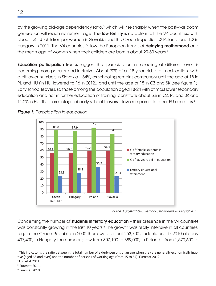by the growing old-age dependency ratio,<sup>3</sup> which will rise sharply when the post-war boom generation will reach retirement age. The **low fertility** is notable in all the V4 countries, with about 1.4-1.5 children per women in Slovakia and the Czech Republic, 1.3 Poland, and 1.2 in Hungary in 2011. The V4 countries follow the European trends of delaying motherhood and *Source: Dashboard of EU Youth Indicators, Eurostat 2012.* the mean age of women when their children are born is about 29-30 years.<sup>4</sup>

**Education participation** trends suggest that participation in schooling at different levels is becoming more popular and inclusive. About 90% of all 18-year-olds are in education, with a bit lower numbers in Slovakia – 84%, as schooling remains compulsory until the age of 18 in and HU (in HU, lowered to 16 in 2012), and until the age of 15 in CZ and SK (see figure 1). Early school leavers, so those among the population aged 18-24 with at most lower secondary education and not in further education or training, constitute about 5% in CZ, PL and SK and 11.2% in HU. The percentage of early school leavers is low compared to other EU countries.<sup>5</sup>





*Source: Eurostat 2010. Tertiary attainment – Eurostat 2011. Source: Eurostat 2010. Tertiary attainment – Eurostat 2011.*

Concerning the number of students in tertiary education – their presence in the V4 countries Concerning the number of **students in tertiary education** – their presence in the V4 was constantly growing in the last 10 years.6 The growth was really intensive in all countries, <sup>6</sup> The growth was really intensive in all was constantly growing in the last 10 years. The growin was really inference in all coal lines,<br>e.g. in the Czech Republic in 2000 there were about 253,700 students and in 2010 already we<br>437,400, in Hungary the number grew from 307,100 to 389,000, in Poland - from 1,579,600 to

5 Eurostat 2011.

 $\frac{3}{3}$  This indicator is the ratio between the total number of elderly persons of an age when they are generally economically inac-<br>tive (aged 55 and over) and the number of persons of working age (from 15 to 64). Euro tive (aged 65 and over) and the number of persons of working age (from 15 to 64). Eurostat 2012.<br>4Ewrstat 2014

<sup>4</sup> Eurostat 2011.

 $6$  Eurostat 2010.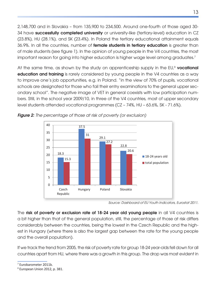2,148,700 and in Slovakia – from 135,900 to 234,500. Around one-fourth of those aged 30- 34 have successfully completed university or university-like (tertiary-level) education in CZ (23.8%), HU (28.1%), and SK (23.4%). In Poland the tertiary educational attainment equals 36.9%. In all the countries, number of female students in tertiary education is greater than of male students (see figure 1). In the opinion of young people in the V4 countries, the most important reason for going into higher education is higher wage level among graduates.<sup>7</sup>

At the same time, as shown by the study on apprenticeship supply in the  $EU^8$  vocational **education and training** is rarely considered by young people in the V4 countries as a way to improve one's job opportunities, e.g. in Poland. "in the view of 70% of pupils, vocational schools are designated for those who fail their entry examinations to the general upper secondary school". The negative image of VET in general coexists with low participation numbers. Still, in the school year 2009/10, in three of the V4 countries, most of upper secondary level students attended vocational programmes (CZ – 74%, HU – 63.6%, SK - 71.6%).



*Figure 2: The percentage of those at risk of poverty (or exclusion)*

The risk of poverty or exclusion rate of 18-24 year old young people in all V4 countries is a bit higher than that of the general population, still, the percentage of those at risk differs considerably between the countries, being the lowest in the Czech Republic and the highest in Hungary (where there is also the largest gap between the rate for the young people and the overall population).  $d_{\text{in}}$  to the drop in uncher  $\ell$ 

If we track the trend from 2005, the risk of poverty rate for group 18-24 year-olds fell down for all countries apart from HU, where there was a growth in this group. The drop was most evident in

7 Eurobarometer 2011b.  $\frac{1}{2}$  and poverty or growth in the percentage of young percentage of young percentage of young percentage of young percentage of young percentage of young percentage of young percentage of young percentage of young pe

*Source: Dashboard of EU Youth Indicators, Eurostat 2011.*

<sup>&</sup>lt;sup>8</sup> European Union 2012, p. 381.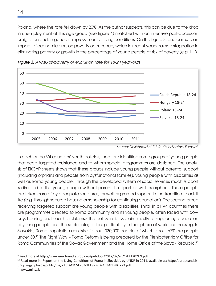Poland, where the rate fell down by 20%. As the author suspects, this can be due to the drop in unemployment of this age group (see figure 4) matched with an intensive post-accession in unemployment of this age group (see figure 4) matched with an intensive post-accession emigration and, in general, improvement of living conditions. On the figure 3, one can see an impact of economic crisis on poverty occurrence, which in recent years caused stagnation in eliminating poverty or growth in the percentage of young people at risk of poverty (e.g. HU).





In each of the V4 countries' youth policies, there are identified some groups of young people that need targeted assistance and to whom special programmes are designed. The analysis of EKCYP sheets shows that these groups include young people without parental support (including orphans and people from dysfunctional families), young people with disabilities as 11 well as Roma young people. Through the developed system of social services much support is directed to the young people without parental support as well as orphans. These people are taken care of by adequate structures, as well as granted support in the transition to adult life (e.g. through secured housing or scholarship for continuing education). The second group receiving targeted support are young people with disabilities. Third, in all V4 countries there are programmes directed to Roma community and its young people, often faced with poverty, housing and health problems.<sup>9</sup> The policy initiatives aim mostly at supporting education of young people and the social integration, particularly in the sphere of work and housing. In Slovakia, Roma population consists of about 330,000 people, of which about 67% are people under 30.<sup>10</sup> The Right Way - Roma Reform is being prepared by the Plenipotentiary Office for Roma Communities of the Slovak Government and the Home Office of the Slovak Republic.<sup>11</sup>

 $11$  www.minv.sk

*Source: Dashboard of EU Youth Indicators, Eurostat.*

<sup>9</sup> Read more at http://www.eurofound.europa.eu/pubdocs/2012/02/en/1/EF1202EN.pdf

<sup>&</sup>lt;sup>10</sup> Read more in 'Report on the Living Conditions of Roma in Slovakia', by UNDP in 2011, available at: http://europeandcis. undp.org/uploads/public/file/2A5FACD7-F203-1EE9-B9D24B3ABF4BE773.pdf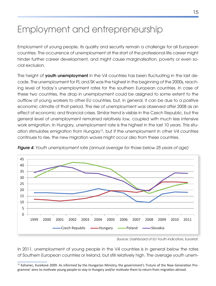#### Employment and entrepreneurship European countries. The occurrence of unemployment at the start of the professional life career might hinder further career development, and might cause marginalisation, poverty or

Employment of young people, its quality and security remain a challenge for all European countries. The occurrence of unemployment at the start of the professional life career might hinder further career development, and might cause marginalisation, poverty or even social exclusion.

The height of **youth unemployment** in the V4 countries has been fluctuating in the last decade. The unemployment for PL and SK was the highest in the beginning of the 2000s, reaching level of today's unemployment rates for the southern European countries. In case of these two countries, the drop in unemployment could be assigned to some extent to the outflow of young workers to other EU countries, but, in general, it can be due to a positive economic climate of that period. The rise of unemployment was observed after 2008 as an effect of economic and financial crises. Similar trend is visible in the Czech Republic, but the general level of unemployment remained relatively low, coupled with much less intensive work emigration. In Hungary, unemployment rate is the highest in the last 10 years. This situation stimulates emigration from Hungary<sup>12</sup>, but if the unemployment in other V4 countries continues to rise, the new migration waves might occur also from these countries. countries continues to rise, the new migration waves might occur also from these countries.



*Figure 4: Youth unemployment rate (annual average for those below 25 years of age) Figure 4: Youth unemployment rate (annual average for those below 25 years of age)*

In 2011, unemployment of young people in the V4 countries is in general below the rates of Southern European countries or Ireland, but still relatively high. The average youth unem-

*Source: Dashboard of EU Youth Indicators, Eurostat. Source: Dashboard of EU Youth Indicators, Eurostat.*

<sup>12&</sup>lt;br><sup>12</sup> Kahanec, Kureková 2009. As informed by the Hungarian Ministry, the government's 'Future of the New Generation Programme' aims to motivate young people to stay in Hungary and/or motivate them to return from migration abroad. from migration abroad.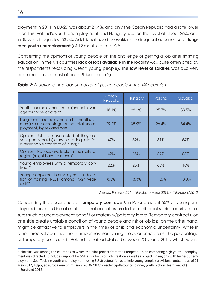ployment in 2011 in EU-27 was about 21.4%, and only the Czech Republic had a rate lower than this. Poland's youth unemployment and Hungary was on the level of about 26%, and in Slovakia it equalled 33.5%. Additional issue in Slovakia is the frequent occurrence of **long**term youth unemployment (of 12 months or more).<sup>13</sup>

Concerning the opinions of young people on the challenge of getting a job after finishing education, in the V4 countries lack of jobs available in the locality was quite often cited by the respondents (excluding Czech young people). The **low level of salaries** was also very often mentioned, most often in PL (see table 2).

|                                                                                                                            | Czech<br><b>Republic</b> | Hungary | Poland | Slovakia |
|----------------------------------------------------------------------------------------------------------------------------|--------------------------|---------|--------|----------|
| Youth unemployment rate (annual aver-<br>age for those above 25)                                                           | 18.1%                    | 26.1%   | 25.7%  | 33.5%    |
| Long-term unemployment (12 months or<br>more) as a percentage of the total unem-<br>ployment, by sex and age               | 29.2%                    | 35.9%   | 26.4%  | 54.4%    |
| Opinion: Jobs are available but they are<br>very poorly paid (salary not adequate for<br>a reasonable standard of living)* | 47%                      | 52%     | 61%    | 54%      |
| Opinion: No jobs available in their city or<br>region (might have to move)*                                                | 42%                      | 63%     | 59%    | 55%      |
| Young employees with a temporary con-<br>tract**                                                                           | 22%                      | 23%     | 65%    | 18%      |
| Young people not in employment, educa-<br>tion or training (NEET) among 15-24 year-<br>olds**                              | 8.3%                     | 13.3%   | 11.6%  | 13.8%    |

*Source: Eurostat 2011, \*Eurobarometer 2011b, \*\*Eurofund 2012.*

Concerning the occurrence of **temporary contracts**<sup>14</sup>, in Poland about 65% of young employees is on such kind of contracts that do not assure to them different social security measures such as unemployment benefit or maternity/paternity leave. Temporary contracts, on one side create unstable condition of young people and risk of job loss, on the other hand, might be attractive to employers in the times of crisis and economic uncertainty. While in other three V4 countries their number has risen during the economic crises, the percentage of temporary contracts in Poland remained stable between 2007 and 2011, which would

<sup>&</sup>lt;sup>13</sup> Slovakia was among the countries to which the pilot project from the European Union combating high youth unemployment was directed. It includes support for SMEs in a focus on job creation as well as projects in regions with highest unemployment. See: Tackling youth unemployment: using EU structural funds to help young people (provisional outcome as of 21 May 2012, http://ec.europa.eu/commission\_2010-2014/president/pdf/council\_dinner/youth\_action\_team\_en.pdf) <sup>14</sup> Eurofund 2012.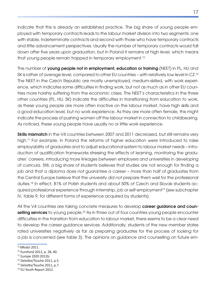indicate that this is already an established practice. The big share of young people employed with temporary contracts leads to the labour market division into two segments: one with stable, indeterminate contracts and second with those who have temporary contracts and little advancement perspectives. Usually the number of temporary contracts would fall down after five years upon graduation, but in Poland it remains at high level, which means that young people remain trapped in temporary employment.<sup>15</sup>

The number of young people not in employment, education or training (NEET) in PL, HU and SK is rather of average level, compared to other EU countries - with relatively low level in CZ.<sup>16</sup> The NEET in the Czech Republic are mostly unemployed, medium-skilled, with work experience, which indicates some difficulties in finding work, but not as much as in other EU countries more harshly suffering from the economic crises. The NEET's characteristics in the three other countries (PL, HU, SK) indicate the difficulties in transitioning from education to work, as these young people are more often inactive on the labour market, have high skills and a good education level, but no work experience. As they are more often female, this might indicate the process of pushing women off the labour market in connection to childbearing. As noticed, these young people have usually no or little work experience.

**Skills mismatch** in the V4 countries between 2007 and 2011 decreased, but still remains very high.<sup>17</sup> For example, in Poland the reforms of higher education were introduced to raise employability of graduates and to adjust educational system to labour market needs – introduction of qualification frameworks stressing the effects of learning, monitoring the graduates' careers, introducing more linkages between employers and universities in developing of curricula. Still, a big share of students believes that studies are not enough for finding a job and that a diploma does not guarantee a career – more than half of graduates from the Central Europe believe that the university did not prepare them well for the professional duties.18 In effect, 81% of Polish students and about 50% of Czech and Slovak students acquired professional experience through internship, job or self-employment<sup>19</sup> (see subchapter IV, table 9, for different forms of experience acquired by students).

All the V4 countries are taking concrete measures to develop career guidance and counselling services to young people.<sup>20</sup> As in three out of four countries young people encounter difficulties in the transition from education to labour market, there seems to be a clear need to develop the career guidance services. Additionally, students of the new member states rated universities negatively as far as preparing graduates for the process of looking for a job is concerned (see table 3). The opinions on guidance and counselling on future em-

<sup>15</sup>Młodzi 2011.

<sup>16</sup> Eurofund 2012, p. 28, 40.

<sup>17</sup> Europe 2020 2012b.

<sup>18</sup> Deloitte/Touche 2011, p.5.

<sup>19</sup> Deloitte/Touche 2011, p.7.

<sup>&</sup>lt;sup>20</sup> EU Youth Report 2012.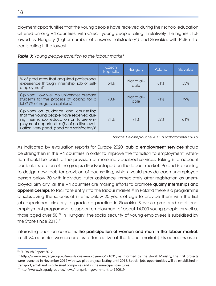ployment opportunities that the young people have received during their school education differed among V4 countries, with Czech young people rating it relatively the highest, followed by Hungary (higher number of answers 'satisfactory') and Slovakia, with Polish students rating it the lowest.

|                                                                                                                                                                                                                           | Czech<br><b>Republic</b> | Hungary            | Poland | Slovakia |
|---------------------------------------------------------------------------------------------------------------------------------------------------------------------------------------------------------------------------|--------------------------|--------------------|--------|----------|
| % of graduates that acquired professional<br>experience through internship, job or self-<br>employment*                                                                                                                   | 54%                      | Not avail-<br>able | 81%    | 53%      |
| Opinion: How well do universities prepare<br>students for the process of looking for a<br>job? (% of negative opinions)                                                                                                   | 70%                      | Not avail-<br>able | 71%    | 79%      |
| Opinions on guidance and counselling<br>that the young people have received dur-<br>ing their school education on future em-<br>ployment opportunities (% of positive eval-<br>uation: very good, good and satisfactory)* | 71%                      | 71%                | 52%    | 61%      |

*Table 3: Young people transition to the labour market*

*Source: Deloitte/Touche 2011, \*Eurobarometer 2011b.*

As indicated by evaluation reports for Europe 2020, public employment services should be strengthen in the V4 countries in order to improve the transition to employment. Attention should be paid to the provision of more individualized services, taking into account particular situation of the groups disadvantaged on the labour market. Poland is planning to design new tools for provision of counselling, which would provide each unemployed person below 30 with individual tutor assistance immediately after registration as unemployed. Similarly, all the V4 countries are making efforts to promote quality internships and **apprenticeships** to facilitate entry into the labour market.<sup>21</sup> In Poland there is a programme of subsidizing the salaries of interns below 25 years of age to provide them with the first job experience, similarly to graduate practice in Slovakia. Slovakia prepared additional employment programme to support employment of about 14,000 young people as well as those aged over 50.22 In Hungary, the social security of young employees is subsidised by the State since 2013.<sup>23</sup>

Interesting question concerns the participation of women and men in the labour market. In all V4 countries women are less often active at the labour market (this concerns espe-

<sup>&</sup>lt;sup>21</sup> EU Youth Report 2012.

<sup>&</sup>lt;sup>22</sup> http://www.visegradgroup.eu/news/slovak-employment-121031; as informed by the Slovak Ministry, the first projects were launched in November 2012 with two pilot projects lasting until 2015. Special jobs opportunities will be established in transport, small and middle sized companies and in the municipal structures.

<sup>23</sup> http://www.visegradgroup.eu/news/hungarian-government-to-120919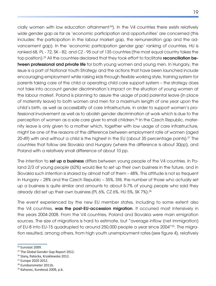cially women with low education attainment<sup>24</sup>). In the V4 countries there exists relatively wide gender gap as far as 'economic participation and opportunities' are concerned (this includes: the participation in the labour market gap, the remuneration gap and the advancement gap). In the 'economic participation gender gap' ranking of countries, HU is ranked 68, PL - 72, SK - 82, and CZ - 95 out of 135 countries (the most equal country takes the top position).<sup>25</sup> All the countries declared that they took effort to facilitate reconciliation between professional and private life for both young women and young men. In Hungary, the issue is a part of National Youth Strategy and the actions that have been launched include encouraging employment while raising kids through flexible working style, training system for parents taking care of the child or operating child care support system – the strategy does not take into account gender discrimination's impact on the situation of young women at the labour market. Poland is planning to assure the usage of paid parental leave (in place of maternity leave) to both women and men for a maximum length of one year upon the child's birth, as well as accessibility of care infrastructure, in order to support women's professional involvement as well as to abolish gender discrimination at work which is due to the perception of women as a sole care giver to small children.26 In the Czech Republic, maternity leave is only given to a mother which, together with low usage of care infrastructure, might be one of the reasons of the difference between employment rate of women (aged 20-49) with and without a child is the highest in the EU (about 35 percentage points).<sup>27</sup> The countries that follow are Slovakia and Hungary (where the difference is about 30pp), and Poland with a relatively small difference of about 10 pp.

The intention to set up a business differs between young people of the V4 countries. In Poland 2/3 of young people (62%) would like to set up their own business in the future, and in Slovakia such intention is shared by almost half of them – 48%. This attitude is not so frequent in Hungary – 28% and the Czech Republic – 35%. Still, the number of those who actually set up a business is quite similar and amounts to about 5-7% of young people who said they already did set up their own business (PL 6%, CZ 6%, HU 5%, SK 7%).<sup>28</sup>

The event experienced by the new EU member states, including to some extent also the V4 countries, was the post-EU-accession migration. It occurred most intensively in the years 2004-2008. From the V4 countries, Poland and Slovakia were main emigration sources. The size of migrations is hard to estimate, but "average inflow (net immigration) of EU-8 into EU-15 quadrupled to around 250,000 people a year since 2004"29. The migration resulted, among others, from high youth unemployment rates (see figure 4), relatively

<sup>&</sup>lt;sup>24</sup> Eurostat 2009.

<sup>&</sup>lt;sup>25</sup> The Global Gender Gap Report 2012.

<sup>26</sup> Slany, Ratecka, Krzaklewska 2012.

<sup>27</sup> Europe 2020 2012.

<sup>28</sup> Eurobarometer 2011b.

<sup>29</sup> Kahanec, Kureková 2009, p.6.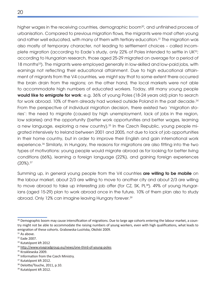20

higher wages in the receiving countries, demographic boom<sup>30</sup>, and unfinished process of urbanisation. Compared to previous migration flows, the migrants were most often young and rather well educated, with many of them with tertiary education.<sup>31</sup> The migration was also mostly of temporary character, not leading to settlement choices – called incomplete migration (according to Eade's study, only 22% of Poles intended to settle in UK<sup>32</sup>; according to Hungarian research, those aged 25-29 migrated on average for a period of 18 months<sup>33</sup>). The migrants were employed generally in low-skilled and low-paid jobs, with earnings not reflecting their educational attainment. Due to high educational attainment of migrants from the V4 countries, we might say that to some extent there occurred the brain drain from the regions; on the other hand, the local markets were not able to accommodate high numbers of educated workers. Today, still many young people would like to emigrate for work: e.g. 36% of young Poles (18-24 years old) plan to search for work abroad. 10% of them already had worked outside Poland in the past decade.<sup>34</sup> From the perspective of individual migration decision, there existed two 'migration stories': the need to migrate (caused by high unemployment, lack of jobs in the region, low salaries) and the opportunity (better work opportunities and better wages, learning a new language, exploring a new country).35 In the Czech Republic, young people migrated intensively to Ireland between 2001 and 2005, not due to lack of job opportunities in their home country, but in order to improve their English and gain international work experience.36 Similarly, in Hungary, the reasons for migrations are also fitting into the two types of motivations: young people would migrate abroad as for looking for better living conditions (66%), learning a foreign language (22%), and gaining foreign experiences  $(20\%)$ .  $37$ 

Summing up, in general young people from the V4 countries are willing to be mobile on the labour market, about 2/3 are willing to move to another city and about 2/3 are willing to move abroad to take up interesting job offer (for CZ, SK, PL<sup>38</sup>). 49% of young Hungarians (aged 15-29) plan to work abroad once in the future, 10% of them plan also to study abroad. Only 12% can imagine leaving Hungary forever.<sup>39</sup>

<sup>&</sup>lt;sup>30</sup> Demographic boom may cause intensification of migrations. Due to large age cohorts entering the labour market, a country might not be able to accommodate the raising numbers of young workers, even with high qualifications, what leads to emigration of these cohorts. Grabowska-Lusińska, Okólski 2009.

 $31$  As above.

<sup>32</sup> Eade 2007.

<sup>33</sup> Kutatópont kft 2012

<sup>34</sup> http://www.visegradgroup.eu/news/one-third-of-young-poles

<sup>35</sup> Krzaklewska 2009.

<sup>&</sup>lt;sup>36</sup> Information from the Czech Ministry.

<sup>37</sup> Kutatópont kft 2012.

<sup>&</sup>lt;sup>38</sup> Deloitte/Touche, 2011, p.10.

<sup>&</sup>lt;sup>39</sup> Kutatópont kft 2012.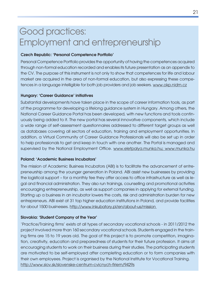### Good practices: Employment and entrepreneurship

#### Czech Republic: 'Personal Competence Portfolio'

Personal Competence Portfolio provides the opportunity of having the competences acquired through non-formal education recorded and enables its future presentation as an appendix to the CV. The purpose of this instrument is not only to show that competences for life and labour market are acquired in the area of non-formal education, but also expressing these competences in a language intelligible for both job providers and job seekers. www.okp.nidm.cz

#### Hungary: 'Career Guidance' initiatives

Substantial developments have taken place in the scope of career information tools, as part of the programme for developing a lifelong guidance system in Hungary. Among others, the National Career Guidance Portal has been developed, with new functions and tools continuously being added to it. The new portal has several innovative components, which include a wide range of self-assessment questionnaires addressed to different target groups as well as databases covering all sectors of education, training and employment opportunities. In addition, a Virtual Community of Career Guidance Professionals will also be set up in order to help professionals to get and keep in touch with one another. The Portal is managed and supervised by the National Employment Office. www.eletpalya.munka.hu; www.munka.hu

#### Poland: 'Academic Business Incubators'

The mission of Academic Business Incubators (ABI) is to facilitate the advancement of entrepreneurship among the younger generation in Poland. ABI assist new businesses by providing the logistical support – for a monthly fee they offer access to office infrastructure as well as legal and financial administration. They also run trainings, counselling and promotional activities encouraging entrepreneurship, as well as support companies in applying for external funding. Starting up a business in an incubator lowers the costs, risk and administration burden for new entrepreneurs. ABI exist at 31 top higher education institutions in Poland, and provide facilities for about 1500 businesses. http://www.inkubatory.pl/en/about-us/mission

#### Slovakia: 'Student Company of the Year'

'Practice/Training firms' exists at all types of secondary vocational schools - in 2011/2012 the project involved more than 160 secondary vocational schools. Students engaged in the training firms are 15 to 19 years old. The goal of this project is to promote competition, imagination, creativity, education and preparedness of students for their future profession. It aims at encouraging students to work on their business during their studies. The participating students are motivated to be self-employed after completing education or to form companies with their own employees. Project is organised by the National Institute for Vocational Training. http://www.siov.sk/slovenske-centrum-cvicnych-firiem/9429s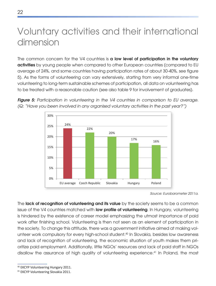#### Voluntary activities and their international dimension **II. Voluntary activities and their international dimension**

The common concern for the V4 countries is **a low level of participation in the voluntary** activities by young people when compared to other European countries (compared to EU average of 24%, and some countries having participation rates of about 30-40%, see figure 5). As the forms of volunteering can vary extensively, starting from very informal one-time volunteering to long-term sustainable schemes of participation, all data on volunteering has<br>. to be treated with a reasonable caution (see also table 9 for involvement of graduates).





*Source: Eurobarometer 2011a.*

The lack of recognition of volunteering and its value by the society seems to be a common Intertack of the V4 countries matched with **low profile of volunteering**. In Hungary, volunteering is hindered by the existence of career model emphasizing the utmost importance of paid work after finishing school. Volunteering is then not seen as an element of participation in the society. To change this attitude, there was a government initiative aimed at making volunteer work compulsory for every high-school student.<sup>40</sup> In Slovakia, besides low awareness and lack of recognition of volunteering, the economic situation of youth makes them prioritize paid employment. Additionally, little NGOs' resources and lack of paid staff in NGOs ence para empreyment radiitivities, the economic situation of para collimition or the economic situation of volunteering, and the most disallow the assurance of high quality of volunteering experience.<sup>41</sup> In Poland, the m

<sup>&</sup>lt;sup>40</sup> EKCYP Volunteering Hungary 2011.

<sup>&</sup>lt;sup>40</sup> EKCYP Volunteering Hungary 2011.<br><sup>41</sup> EKCYP Volunteering Slovakia 2011.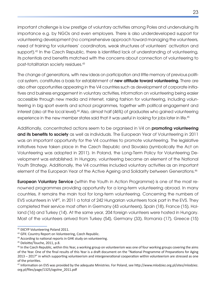important challenge is low prestige of voluntary activities among Poles and undervaluing its importance e.g. by NGOs and even employers. There is also underdeveloped support for volunteering development (no comprehensive approach toward managing the volunteers, need of training for volunteers' coordinators, weak structures of volunteers' activation and support).<sup>42</sup> In the Czech Republic, there is identified lack of understanding of volunteering, its potentials and benefits matched with the concerns about connection of volunteering to post-totalitarian society residues.43

The change of generations, with new ideas on participation and little memory of previous political system, constitutes a basis for establishment of new attitude toward volunteering. There are also other opportunities appearing in the V4 countries such as development of corporate initiatives and business engagement in voluntary activities, information on volunteering being easier accessible through new media and internet, raising fashion for volunteering, including volunteering in big sport events and school programmes, together with political engagement and interest (also at the local level).44 Also, almost half (46%) of graduates who gained volunteering experience in the new member states said that it was useful in looking for jobs later in life.<sup>45</sup>

Additionally, concentrated actions seem to be organised in V4 on **promoting volunteering** and its benefits to society as well as individuals. The European Year of Volunteering in 2011 was an important opportunity for the V4 countries to promote volunteering. The legislative initiatives have taken place in the Czech Republic and Slovakia (symbolically the Act on Volunteering was adopted in 2011). In Poland, the Long-Term Policy for Volunteering Development was established. In Hungary, volunteering became an element of the National Youth Strategy. Additionally, the V4 countries included voluntary activities as an important element of the European Year of the Active Ageing and Solidarity between Generations.46

European Voluntary Service (within the Youth in Action Programme) is one of the most renowned programmes providing opportunity for a long-term volunteering abroad. In many countries, it remains the main tool for long-term volunteering. Concerning the numbers of EVS volunteers in V447, in 2011 a total of 242 Hungarian volunteers took part in the EVS. They completed their service most often in Germany (43 volunteers), Spain (18), France (15), Holland (16) and Turkey (14). At the same year, 204 foreign volunteers were hosted in Hungary. Most of the volunteers arrived from Turkey (54), Germany (33), Romania (17), Greece (15)

<sup>42</sup> EKCYP Volunteering Poland 2011.

<sup>43</sup> GFK: Country Report on Volunteering, Czech Republic.

<sup>44</sup> According to national reports in GHK study on volunteering.

<sup>45</sup> Deloitte/Touche, 2011, p.8.

<sup>&</sup>lt;sup>46</sup> In the Czech Republic, within this Year, a working group on volunteerism was one of four working groups covering the aims of the Year. One of the final results of this Year is a draft document on the "National Programme of Preparations for Aging 2013 – 2017" in which supporting volunteerism and intergenerational cooperation within volunteerism are stressed as one of the priorities.

<sup>47</sup> Information on EVS was provided by the adequate Ministries. For Poland, see http://www.mlodziez.org.pl/sites/mlodziez. org.pl/files/page/1325/ogolne\_2011.pdf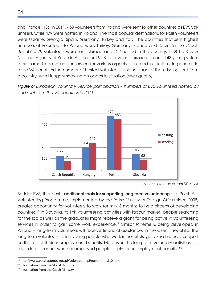and France (13). In 2011, 453 volunteers from Poland were sent to other countries as EVS volunteers, while 479 were hosted in Poland. The most popular destinations for Polish volunteers under that sent were Ukraine, Georgia, Spain, Germany, Turkey and Italy. The countries that sent highest numbers of volunteers to Poland were Turkey, Germany, France and Spain. In the Czech Republic, 79 volunteers were sent abroad and 122 hosted in the country. In 2011, Slovak abroad and 143 young volunteers came to do volunteer service for various organisations and National Agency of Youth in Action sent 92 Slovak volunteers abroad and 143 young volunteers came to do volunteer service for various organisations and institutions. In general, in three V4 countries the number of hosted volunteers is higher than of those being sent from a country, with Hungary showing an opposite situation (see figure 6).

countries as EVS volunteers, while 479 were hosted in Poland. The most popular destinations



*Figure 6: European Voluntary Service participation – numbers of EVS volunteers hosted by and sent from the V4 countries in 2011 and sent from the V4 countries in 2011*

Besides EVS, there exist additional tools for supporting long term volunteering e.g. Polish Aid Volunteering Programme, implemented by the Polish Ministry of Foreign Affairs since 2008, creates opportunity for volunteers to work for min. 3 months to help citizens of developing countries.48 In Slovakia, to link volunteering activities with labour market, people searching for the job as well as the graduates might receive a grant for being active in volunteering services in order to gain some work experience.<sup>49</sup> Similar scheme is being developed in Poland – long-term volunteers will receive financial assistance. In the Czech Republic, the long-term volunteers, often young people who work in hospitals, get extra financial support on the top of their unemployment benefits. Moreover, the long-term voluntary activities are taken into account when unemployed people apply for unemployment benefits.<sup>50</sup> anieering Programme, implemented by the Polish Ministry of Po

*Source: Information from Ministries.*

<sup>48</sup> http://www.polskapomoc.gov.pl/Volunteering,Programme,810.html

<sup>49</sup> Information from the Slovak Ministry.

<sup>50</sup> Information from the Czech Ministry.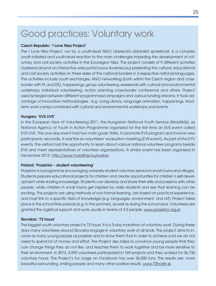### Good practices: Voluntary work

#### Czech Republic: 'I Love Nisa Project'

The I Love Nisa Project, run by a youth-lead NGO Liberecká občanská společnost, is a complex youth-initiated and youth-lead reaction to the main challenges impeding the development of voluntary and civil society activities in the Euroregion Nisa. The project consists of 9 different activities clustered around an interactive web-portal (www.ilovenisa.eu) presenting the cultural, educational and civil society activities on three sides of the national borders in 3 respective national languages. The activities include youth exchanges, NGO networking (both within the Czech region and crossborder with PL and DE), happenings, group volunteering weekends with cultural and environmental workshops, individual volunteering, action planning cross-border conference and others. Project used synergies between different programmes/campaigns and various funding streams. It took advantage of innovative methodologies - e.g. Living Library, language animation, happenings, shortterm work camps combined with cultural and environmental workshops and events.

#### Hungary: 'EVS LIVE'

In the European Year of Volunteering 2011, the Hungarian National Youth Service (Mobilitás), as National Agency of Youth in Action Programme organized for the first time an EVS event called EVS LIVE. The one-day event had two main goals: firstly, to promote EVS program and involve new participants, secondly, it was the ex-volunteers' evaluation meeting (EVS event). As part of the EYV events, the visitors had the opportunity to learn about various national volunteer programs beside EVS and meet representatives of volunteer organizations. A similar event has been organized in December 2012. http://www.mobilitas.hu/evslive

#### Poland: 'Projektor – student volunteering'

Projektor is a programme encouraging university student voluntary service in small towns and villages. Students prepare educational projects for children and create opportunities for children's self-development while sharing knowledge. Students can develop and share their skills and passions with other people, while children in small towns get inspired by older students and see that learning can be exciting. The projects are using methods of non-formal learning, are based on practical experience, and must link to a specific field of knowledge (e.g. languages, environment, and art). Project takes place in the school-free periods (e.g. in the summer), as well as during the school year. Volunteers are granted the logistical support and work usually in teams of 2-3 people. www.projektor.org.pl

#### Slovakia: '72 hours'

The biggest youth voluntary project is 72 hours. It is a 3-day marathon of voluntary work. During these days many volunteers around Slovakia engage in voluntary work of all kinds. The project aims to involve as many young people as possible and to show them that in order to achieve a lot we do not need to spend lot of money and effort. The Project also helps to convince young people that they can change things they do not like, and teaches them to work together and be more sensitive to their environment. In 2012, 4,592 volunteers participated in 169 projects and they worked for 36,736 voluntary hours. The Project's fun page on Facebook has over 26,000 funs. The results are: more beautiful surrounding, smiling people and many other positive results. www.72hodin.sk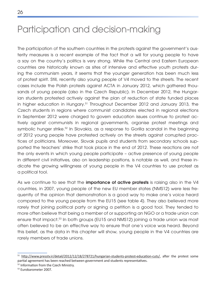### Participation and decision-making

The participation of the southern countries in the protests against the government's austerity measures is a recent example of the fact that a will for young people to have a say on the country's politics is very strong. While the Central and Eastern European countries are historically known as sites of intensive and effective youth protests during the communism years, it seems that the younger generation has been much less of protest spirit. Still, recently also young people of V4 moved to the streets. The recent cases include the Polish protests against ACTA in January 2012, which gathered thousands of young people (also in the Czech Republic). In December 2012, the Hungarian students protested actively against the plan of reduction of state funded places in higher education in Hungary.51 Throughout December 2012 and January 2013, the Czech students in regions where communist candidates elected in regional elections in September 2012 were charged to govern education issues continue to protest actively against communists in regional governments, organise protest meetings and symbolic hunger strike.<sup>52</sup> In Slovakia, as a response to Gorilla scandal in the beginning of 2012 young people have protested actively on the streets against corrupted practices of politicians. Moreover, Slovak pupils and students from secondary schools supported the teachers' strike that took place in the end of 2012. These reactions are not the only events in which young people participate – active presence of young people in different civil initiatives, also on leadership positions, is notable as well, and these indicate the growing willingness of young people in the V4 countries to use protest as a political tool.

As we continue to see that the **importance of active protests** is raising also in the V4 countries, in 2007, young people of the new EU member states (NMS12) were less frequently of the opinion that demonstration is a good way to make one's voice heard compared to the young people from the EU15 (see table 4). They also believed more rarely that joining political party or signing a petition is a good tool. They tended to more often believe that being a member of or supporting an NGO or a trade union can ensure that impact.53 In both groups (EU15 and NMS12) joining a trade union was most often believed to be an effective way to ensure that one's voice was heard. Beyond this belief, as the data in this chapter will show, young people in the V4 countries are rarely members of trade unions.

52 Information from the Czech Ministry.

<sup>51</sup> http://www.presstv.ir/detail/2012/12/18/278721/hungarian-students-protest-education-cuts/, after the protest some partial agreement has been reached between government and students representatives.

<sup>53</sup> Eurobarometer 2007.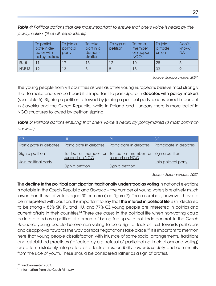*Table 4: Political actions that are most important to ensure that one's voice is heard by the policymakers (% of all respondents)*

|                   | To partici-<br>pate in de-<br>bates with<br>policy makers | To join a<br>political<br>party | To take<br>part in a<br>demon-<br>stration | To sign a<br>petition | To be a<br>member<br>or support<br><b>NGO</b> | To join<br>a trade<br>union | Don't<br>know/<br><b>NA</b> |
|-------------------|-----------------------------------------------------------|---------------------------------|--------------------------------------------|-----------------------|-----------------------------------------------|-----------------------------|-----------------------------|
| <b>EU15</b>       |                                                           |                                 | 15                                         | 12                    | 10                                            | 28                          |                             |
| NMS <sub>12</sub> | 12                                                        | 13                              |                                            | 8                     | 15                                            | 33                          |                             |

*Source: Eurobarometer 2007.*

The young people from V4 countries as well as other young Europeans believe most strongly that to make one's voice heard it is important to participate in **debates with policy makers** (see table 5). Signing a petition followed by joining a political party is considered important in Slovakia and the Czech Republic, while in Poland and Hungary there is more belief in NGO structures followed by petition signing.

*Table 5: Political actions ensuring that one's voice is heard by policymakers (3 most common answers)*

| $\overline{CZ}$                         | HU                                                  | <b>PL</b>                                     | <b>SK</b>                               |
|-----------------------------------------|-----------------------------------------------------|-----------------------------------------------|-----------------------------------------|
| Participate in debates                  | Participate in debates                              | Participate in debates                        | Participate in debates                  |
| Sign a petition<br>Join political party | To be a member<br>$\overline{or}$<br>support an NGO | To be a member<br><b>or</b><br>support an NGO | Sign a petition<br>Join political party |
|                                         | Sign a petition                                     | Sign a petition                               |                                         |

*Source: Eurobarometer 2007.* 

The **decline in the political participation traditionally understood as voting** in national elections is notable in the Czech Republic and Slovakia – the number of young voters is relatively much lower than those of voters aged 30 or more (see figure 7). These numbers, however, have to be interpreted with caution. It is important to say that the interest in political life is still declared to be strong – 83% SK, PL and HU, and 77% CZ young people are interested in politics and current affairs in their countries.54 There are cases in the political life when non-voting could be interpreted as a political statement of being fed up with politics in general. In the Czech Republic, young people believe non-voting to be a sign of lack of trust towards politicians and disapproval towards the way political negotiations take place.<sup>55</sup> It is important to mention here that young people dissatisfaction with injustice of some social arrangements, traditions and established practices (reflected by e.g. refusal of participating in elections and voting) are often mistakenly interpreted as a lack of responsibility towards society and community from the side of youth. These should be considered rather as a sign of protest.

<sup>54</sup> Eurobarometer 2007.

<sup>55</sup> Information from the Czech Ministry.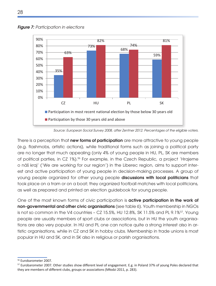

*Figure 7: Participation in elections Figure 7: Participation in elections*

*Source: European Social Survey 2008, after Zentner 2012. Percentages of the eligible voters.*

There is a perception that **new forms of participation** are more attractive to young people (e.g. flashmobs, artistic actions), while traditional forms such as joining a political party are no longer that much appealing (only 4% of young people in HU, PL, SK are members of political parties, in CZ 1%).<sup>56</sup> For example, in the Czech Republic, a project `Hrajeme o náš kraj' (`We are working for our region') in the Liberec region, aims to support interest and active participation of young people in decision-making processes. A group of <sup>56</sup> For example, in the Czech Republic, a project est and denve pamelpanon or young people in decision-making processes. A group or<br>young people organized for other young people **discussions with local politicians** that took place on a tram or on a boat; they organized football matches with local politicians, as well as prepared and printed an election guidebook for young people.

One of the most known forms of civic participation is **active participation in the work of** non-governmental and other civic organisations (see table 6). Youth membership in NGOs is not so common in the V4 countries - CZ 15.5%, HU 12.8%, SK 11.5% and PL 9.1% $^{57}$ . Young people are usually members of sport clubs or associations, but in HU the youth organisations are also very popular. In HU and PL one can notice quite a strong interest also in artistic organisations, while in CZ and SK in hobby clubs. Membership in trade unions is most popular in HU and SK, and in SK also in religious or parish organisations. 28 is not so common in the V4 coun<br>people are usually members of s<br>tions are also very popular. In HU

<sup>56</sup> Eurobarometer 2007.

<sup>57</sup> Eurobarometer 2007. Other studies show different level of engagement. E.g. in Poland 37% of young Poles declared that they are members of different clubs, groups or associations (Młodzi 2011, p. 283).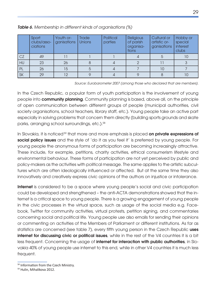|           | Sport<br>clubs/asso-<br>ciations | Youth or-<br>ganisations | <b>Trade</b><br><b>Unions</b> | Political<br>parties | Religious<br>of parish<br>organisa-<br>tions | Cultural or<br>artistic or-<br>ganisations | Hobby or<br>special<br>interest<br>clubs |
|-----------|----------------------------------|--------------------------|-------------------------------|----------------------|----------------------------------------------|--------------------------------------------|------------------------------------------|
| <b>CZ</b> | 49                               |                          |                               |                      |                                              |                                            | 10                                       |
| HU        | 23                               | 26                       |                               |                      |                                              |                                            |                                          |
| PL        | 26                               | 15                       |                               |                      |                                              | 10                                         |                                          |
| <b>SK</b> | 29                               | 12                       |                               |                      |                                              |                                            | 10                                       |

#### *Table 6. Membership in different kinds of organisations (%)*

*Source: Eurobarometer 2007 (among those who declared that are members).*

In the Czech Republic, a popular form of youth participation is the involvement of young people into **community planning**. Community planning is based, above all, on the principle of open communication between different groups of people (municipal authorities, civil society organisations, school teachers, library staff, etc.). Young people take an active part especially in solving problems that concern them directly (building sports grounds and skate parks, arranging school surroundings, etc.).58

In Slovakia, it is noticed<sup>59</sup> that more and more emphasis is placed on private expressions of social policy issues and the style of 'do it as you feel it' is preferred by young people. For young people the anonymous forms of participation are becoming increasingly attractive. These include, for example, petitions, charity activities, ethical consumerism lifestyle and environmental behaviour. These forms of participation are not yet perceived by public and policy-makers as the activities with political message. The same applies to the artistic subcultures which are often ideologically influenced or affected. But at the same time they also innovatively and creatively express civic opinions of the authors on injustice or intolerance.

Internet is considered to be a space where young people's social and civic participation could be developed and strengthened – the anti-ACTA demonstrations showed that the internet is a critical space to young people. There is a growing engagement of young people in the civic processes in the virtual space, such as usage of the social media e.g. Facebook, Twitter for community activities, virtual protests, petition signing, and commentaries concerning social and political life. Young people use also emails for sending their opinions or commenting on activities of the Members of Parliament or different institutions. As far as statistics are concerned (see table 7), every fifth young person in the Czech Republic uses internet for discussing civic or political issues, while in the rest of the V4 countries it is a bit less frequent. Concerning the usage of **internet for interaction with public authorities**, in Slovakia 40% of young people use internet to this end, while in other V4 countries it is much less frequent.

<sup>58</sup> Information from the Czech Ministry.

<sup>59</sup> Hulin, Mihalikova 2012.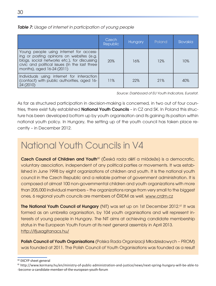|                                                                                                                                                                                                                     | Czech<br><b>Republic</b> | Hungary | Poland | Slovakia |
|---------------------------------------------------------------------------------------------------------------------------------------------------------------------------------------------------------------------|--------------------------|---------|--------|----------|
| Young people using internet for access-<br>ing or posting opinions on websites (e.g.<br>blogs, social networks etc.), for discussing<br>civic and political issues (in the last three<br>months), aged 16-24 (2011) | 20%                      | 16%     | 12%    | 10%      |
| Individuals using internet for interaction<br>(contact) with public authorities, aged 16-<br>24 (2010)                                                                                                              | 11%                      | 22%     | 21%    | 40%      |

#### *Table 7: Usage of internet in participation of young people*

*Source: Dashboard of EU Youth Indicators, Eurostat.*

As far as structured participation in decision-making is concerned, in two out of four countries, there exist fully established **National Youth Councils** - in CZ and SK. In Poland this structure has been developed bottom up by youth organisation and its gaining its position within national youth policy. In Hungary, the setting up of the youth council has taken place recently – in December 2012.

### National Youth Councils in V4

Czech Council of Children and Youth<sup>60</sup> (Česká rada dětí a mládeže) is a democratic, voluntary association, independent of any political parties or movements. It was established in June 1998 by eight organizations of children and youth. It is the national youth council in the Czech Republic and a reliable partner of government administration. It is composed of almost 100 non-governmental children and youth organizations with more than 205,000 individual members – the organizations range from very small to the biggest ones, 6 regional youth councils are members of ČRDM as well. www.crdm.cz

The National Youth Council of Hungary (NIT) was set up on 1st December 2012.<sup>61</sup> It was formed as an umbrella organisation, by 104 youth organisations and will represent interests of young people in Hungary. The NIT aims at achieving candidate membership status in the European Youth Forum at its next general assembly in April 2013. http://ifjusagitanacs.hu/

Polish Council of Youth Organisations (Polska Rada Organizacji Młodzieżowych – PROM) was founded at 2011. The Polish Council of Youth Organisations was founded as a result

<sup>&</sup>lt;sup>60</sup> EKCYP sheet general

 $61$  http://www.kormany.hu/en/ministry-of-public-administration-and-justice/news/next-spring-hungary-will-be-able-to -become-a-candidate-member-of-the-european-youth-forum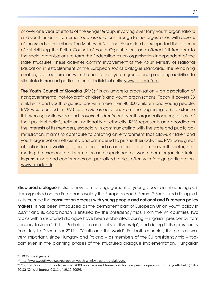of over one year of efforts of the Ginger Group, involving over forty youth organisations and youth unions – from small local associations through to the largest ones, with dozens of thousands of members. The Ministry of National Education has supported the process of establishing the Polish Council of Youth Organisations and offered full freedom to the social organisations to form the Federation as an organisation independent of the state structures. These activities confirm involvement of the Polish Ministry of National Education in establishment of the European social dialogue standards. The remaining challenge is cooperation with the non-formal youth groups and preparing activities to stimulate increased participation of individual units. www.prom.info.pl

**The Youth Council of Slovakia** (RMS) $62$  is an umbrella organisation – an association of nongovernmental not-for-profit children's and youth organizations. Today it covers 33 children's and youth organisations with more then 40,000 children and young people. RMS was founded in 1990 as a civic association. From the beginning of its existence it is working nationwide and covers children's and youth organizations, regardless of their political beliefs, religion, nationality or ethnicity. RMS represents and coordinates the interests of its members, especially in communicating with the state and public administration. It aims to contribute to creating an environment that allows children and youth organizations efficiently and unhindered to pursue their activities. RMS pays great attention to networking organizations and associations active in the youth sector, promoting the exchange of information and experience between them, organizing trainings, seminars and conferences on specialized topics, often with foreign participation. www.mladez.sk

**Structured dialogue** is also a new form of engagement of young people in influencing politics, organised on the European level by the European Youth Forum.<sup>63</sup> Structured dialogue is in its essence the **consultation process with young people and national and European policy** makers. It has been introduced as the permanent part of European Union youth policy in 200964 and its coordination is ensured by the presidency trios. From the V4 countries, two topics within structured dialogue have been elaborated: during Hungarian presidency from January to June 2011 – 'Participation and active citizenship', and during Polish presidency from July to December 2011 – 'Youth and the world'. For both countries, the process was very important, since Hungary and Poland – as members of the EU presidency trio – took part even in the planning phases of the structured dialogue implementation. Hungarian

<sup>&</sup>lt;sup>62</sup> EKCYP sheet general.

 $63$  http://www.youthweek.eu/european-youth-week/structured-dialogue/<br> $64$  Council Resolution of 27 November 2009 on a renewed framework for European cooperation in the youth field (2010-2018) [Official Journal C 311 of 19.12.2009].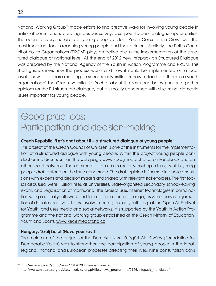National Working Group<sup>65</sup> made efforts to find creative ways for involving young people in national consultation, creating, besides survey, also peer-to-peer dialogue opportunities. The open-to-everyone circle of young people called 'Youth Consultation Crew' was the most important tool in reaching young people and their opinions. Similarly, the Polish Council of Youth Organizations (PROM) plays an active role in the implementation of the structured dialogue at national level. At the end of 2012 new Infopack on Structured Dialogue was prepared by the National Agency of the Youth in Action Programme and PROM. This short guide shows how the process works and how it could be implemented on a local level – how to prepare meetings in schools, universities or how to facilitate them in a youth organization.66 The Czech website 'Let's chat about it' (described below) helps to gather opinions for the EU structured dialogue, but it is mostly concerned with discussing domestic issues important for young people.

### Good practices: Participation and decision-making

#### Czech Republic: 'Let's chat about it – a structured dialogue of young people'

This project of the Czech Council of Children is one of the instruments for the implementation of a structured dialogue with young people. Within the project young people conduct online discussions on the web page www.kecejmedotoho.cz, on Facebook and on other social networks. The comments act as a basis for workshops during which young people draft a stand on the issue concerned. The draft opinion is finalised in public discussions with experts and decision makers and shared with relevant stakeholders. The first topics discussed were: Tuition fees at universities, State-organised secondary school-leaving exam, and Legalisation of marihuana. The project uses internet technologies in combination with practical youth work and face-to-face contacts, engages volunteers in organisation of debates and workshops, involves non-organised youth, e.g. at the Open Air Festival for Youth, and uses media and social networks. It is supported by the Youth in Action Programme and the national working group established at the Czech Ministry of Education, Youth and Sports. www.kecejmedotoho.cz

#### Hungary: 'Szólj bele! (Have your say!)'

The main aim of the project of the Demokratikus Ifjúságért Alapítvány (Foundation for Democratic Youth) was to strengthen the participation of young people in the local, regional, national and European processes affecting their lives. Nine consultation days

<sup>&</sup>lt;sup>65</sup> http://ec.europa.eu/youth/news/20120203\_compendium\_en.htm

<sup>66</sup> http://www.mlodziez.org.pl/sites/mlodziez.org.pl/files/news\_programme/2146/infopack\_irlandia.pdf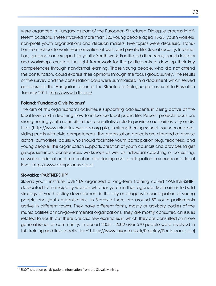were organized in Hungary as part of the European Structured Dialogue process in different locations. These involved more than 320 young people aged 15-25, youth workers, non-profit youth organizations and decision makers. Five topics were discussed: Transition from school to work; Harmonization of work and private life; Social security; Information, guidance and support for youth; Youth work. Facilitated discussions, panel debates and workshops created the right framework for the participants to develop their key competences through non-formal learning. Those young people, who did not attend the consultation, could express their opinions through the focus group survey. The results of the survey and the consultation days were summarized in a document which served as a basis for the Hungarian report of the Structured Dialogue process sent to Brussels in January 2011. http://www.i-dia.org/

#### Poland: 'Fundacja Civis Polonus'

The aim of this organisation's activities is supporting adolescents in being active at the local level and in learning how to influence local public life. Recent projects focus on: strengthening youth councils in their consultative role to province authorities, city or districts (http://www.mlodziezowarada.org.pl/), in strengthening school councils and providing pupils with civic competences. The organisation projects are directed at diverse actors: authorities, adults who should facilitate youth participation (e.g. teachers), and young people. The organisation supports creation of youth councils and provides target groups seminars, conferences, workshops as well as individual coaching or consulting, as well as educational material on developing civic participation in schools or at local level. http://www.civispolonus.org.pl

#### Slovakia: 'PARTNERSHIP'

Slovak youth institute IUVENTA organized a long-term training called 'PARTNERSHIP' dedicated to municipality workers who has youth in their agenda. Main aim is to build strategy of youth policy development in the city or village with participation of young people and youth organisations. In Slovakia there are around 50 youth parliaments active in different towns. They have different forms, mostly of advisory bodies of the municipalities or non-governmental organizations. They are mostly consulted on issues related to youth but there are also few examples in which they are consulted on more general issues of community. In period 2008 – 2009 over 570 people were involved in this training and linked activities.<sup>67</sup> https://www.iuventa.sk/sk/Projekty/Participacia.alej

33

<sup>&</sup>lt;sup>67</sup> EKCYP sheet on participation; information from the Slovak Ministry.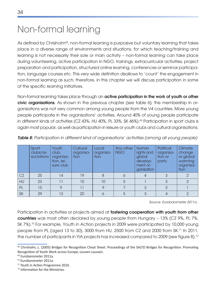### Non-formal learning

As defined by Chrisholm<sup>68</sup>, non-formal learning is purposive but voluntary learning that takes place in a diverse range of environments and situations, for which teaching/training and learning is not necessarily their sole or main activity – non-formal learning can take place during volunteering, active participation in NGO, trainings, extracurricular activities, project preparation and participation, structured online learning, conferences or seminar participation, language courses etc. This very wide definition disallows to 'count' the engagement in non-formal learning as such; therefore, in this chapter we will discuss participation in some of the specific learning initiatives.

Non-formal learning takes place through an **active participation in the work of youth or other** civic organisations. As shown in the previous chapter (see table 6), the membership in organisations was not very common among young people from the V4 countries. More young people participate in the organisations' activities. Around 40% of young people participate in different kinds of activities (CZ 43%, HU 40%, PL 33%, SK 46%).<sup>69</sup> Participation in sport clubs is again most popular, as well as participation in leisure or youth clubs and cultural organisations.

|           | Sport<br>clubs/as-<br>sociations | Youth<br>club,<br>organisa-<br>tion, lei-<br>sure club | Cultural<br>organisa-<br>tion | Local<br>organisa-<br>tion | Any other<br><b>NGO</b> | Human<br>rights and<br>global<br>develop-<br>ment or-<br>ganisation | Political<br>organisa-<br>tion or<br>party | Climate<br>change<br>or global<br>warming<br>organisa-<br>tion |
|-----------|----------------------------------|--------------------------------------------------------|-------------------------------|----------------------------|-------------------------|---------------------------------------------------------------------|--------------------------------------------|----------------------------------------------------------------|
| CZ        | 25                               | 14                                                     | 19                            |                            |                         |                                                                     |                                            |                                                                |
| HU        | 23                               |                                                        | 10                            | 10                         | 5                       |                                                                     |                                            |                                                                |
| PL        | 15                               | O                                                      | 11                            |                            |                         |                                                                     | 2                                          |                                                                |
| <b>SK</b> | 29                               | 13                                                     | 20                            |                            |                         |                                                                     |                                            |                                                                |

*Table 8: Participation in different kind of organisations' activities (among all young people)*

*Source: Eurobarometer 2011a .*

Participation in activities or projects aimed at **fostering cooperation with youth from other** countries was most often declared by young people from Hungary – 13% (CZ 9%, PL 7%, SK 7%).<sup>70</sup> For example, Youth in Action projects in 2009 were participated by 10,000 young people from PL (aged 13 to 30), 3000 from HU, 2500 from CZ and 2000 from SK.71 In 2011, the number of participants in YiA projects has increased compared to 2009 (see figure 8).<sup>72</sup>

<sup>&</sup>lt;sup>68</sup> Chrisholm, L. (2005) Bridges for Recognition Cheat Sheet: Proceedings of the SALTO Bridges for Recognition: Promoting Recognition of Youth Work across Europe, Leuven-Louvain.

<sup>&</sup>lt;sup>69</sup> Eurobarometer 2011a.

<sup>70</sup> Eurobarometer 2011a.

<sup>71</sup> Youth in Action Programme 2010.

<sup>72</sup> Information for the Ministries.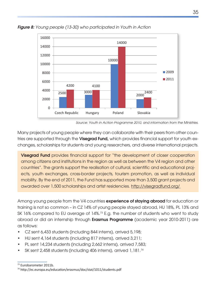

*Figure 8: Young people (13-30) who participated in Youth in Action Figure 8: Young people (13-30) who participated in Youth in Action*

Many projects of young people where they can collaborate with their peers from other countries are supported through the **Visegrad Fund,** which provides financial support for youth exchanges, scholarships for students and young researchers, and diverse international projects.<br>.

**Visegrad Fund** provides financial support for "the development of closer cooperation among citizens and institutions in the region as well as between the V4 region and other projects. countries". The grants support the realisation of cultural, scientific and educational projects, youth exchanges, cross-border projects, tourism promotion, as well as individual **Visegrad Fund** provides financial support for "the development of closer cooperation among mobility. By the end of 2011, the Fund has supported more than 3,500 grant projects and awarded over 1,500 scholarships and artist residencies. http://visegradfund.org/

Among young people from the V4 countries **experience of staying abroad** for education or training is not so common – in CZ 14% of young people stayed abroad, HU 18%, PL 13% and SK 16% compared to EU average of 14%.73 E.g. the number of students who went to study abroad or did an internship through Erasmus Programme (academic year 2010-2011) are as follows: ong young people from the<br>ning is not so common - in C

- CZ sent 6,433 students (including 844 interns), arrived 5,198;
- HU sent 4,164 students (including 817 interns), arrived 3,211;
- PL sent 14,234 students (including 2,662 interns), arrived 7,583;
- SK sent 2,458 students (including 406 interns), arrived 1,181.74

*Source: Youth in Action Programme 2010, and information from the Ministries.*

<sup>73</sup> Eurobarometer 2011b.

<sup>74</sup> http://ec.europa.eu/education/erasmus/doc/stat/1011/students.pdf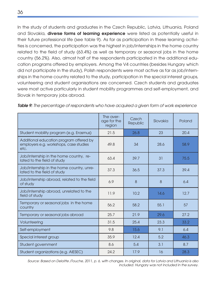In the study of students and graduates in the Czech Republic, Latvia, Lithuania, Poland and Slovakia, **diverse forms of learning experience** were listed as potentially useful in their future professional life (see table 9). As far as participation in these learning activities is concerned, the participation was the highest in job/internships in the home country related to the field of study (63.4%) as well as temporary or seasonal jobs in the home country (56.2%). Also, almost half of the respondents participated in the additional education programs offered by employers. Among the V4 countries (besides Hungary which did not participate in the study), Polish respondents were most active as far as job/internships in the home country related to the study, participation in the special interest groups, volunteering and student organisations are concerned. Czech students and graduates were most active particularly in student mobility programmes and self-employment, and Slovak in temporary jobs abroad.

|                                                                                           | The aver-<br>age for the<br>region | Czech<br>Republic | Slovakia      | Poland |
|-------------------------------------------------------------------------------------------|------------------------------------|-------------------|---------------|--------|
| Student mobility program (e.g. Erasmus)                                                   | 21.5                               | 26.8              | 23            | 20.4   |
| Additional education program offered by<br>employers e.g. workshops, case studies<br>etc. | 49.8                               | 34                | 28.6          | 58.9   |
| Job/internship in the home country, re-<br>lated to the field of study                    | 63.4                               | 39.7              | 31            | 75.5   |
| Job/internship in the home country, unre-<br>lated to the field of study                  | 37.3                               | 36.5              | 37.3          | 39.4   |
| Job/internship abroad, related to the field<br>of study                                   | 6.9                                | $\mathcal{B}$     | $\mathcal{B}$ | 6.4    |
| Job/internship abroad, unrelated to the<br>field of study                                 | 11.9                               | 10.2              | 14.6          | 12.7   |
| Temporary or seasonal jobs in the home<br>country                                         | 56.2                               | 58.2              | 55.1          | 57     |
| Temporary or seasonal jobs abroad                                                         | 25.7                               | 21.9              | 29.6          | 27.2   |
| Volunteering                                                                              | 31.5                               | 25.4              | 23.3          | 33.2   |
| Self-employment                                                                           | 9.8                                | 15.6              | 9.1           | 6.4    |
| Special interest group                                                                    | 35.9                               | 12.4              | 5.2           | 46.3   |
| Student government                                                                        | 8.6                                | 5.4               | 3.1           | 8.7    |
| Student organizations (e.g. AIESEC)                                                       | 24.2                               | 17.9              | 16            | 28.3   |

|  |  |  |  |  |  | Table 9: The percentage of respondents who have acquired a given form of work experience |
|--|--|--|--|--|--|------------------------------------------------------------------------------------------|
|  |  |  |  |  |  |                                                                                          |

*Source: Based on Deloitte /Touche, 2011, p. 6, with changes. In original, data for Latvia and Lithuania is also included. Hungary was not included in the survey.*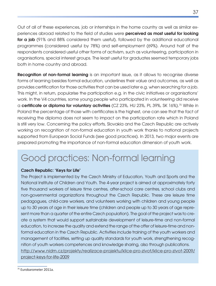Out of all of these experiences, job or internships in the home country as well as similar experiences abroad related to the field of studies were perceived as most useful for looking for a job (91% and 88% considered them useful), followed by the additional educational programmes (considered useful by 78%) and self-employment (69%). Around half of the respondents considered useful other forms of activism, such as volunteering, participation in organisations, special interest groups. The least useful for graduates seemed temporary jobs both in home country and abroad.

**Recognition of non-formal learning** is an important issue, as it allows to recognise diverse forms of learning besides formal education, underlines their value and outcomes, as well as provides certification for those activities that can be used later e.g. when searching for a job. This might, in return, popularise the participation e.g. in the civic initiatives or organisations' work. In the V4 countries, some young people who participated in volunteering did receive a certificate or diploma for voluntary activities (CZ 23%, HU 23%, PL 39%, SK 16%).75 While in Poland the percentage of those with certificates is the highest, one can see that the fact of receiving the diploma does not seem to impact on the participation rate which in Poland is still very low. Concerning the policy efforts, Slovakia and the Czech Republic are actively working on recognition of non-formal education in youth work thanks to national projects supported from European Social Funds (see good practices). In 2013, two major events are prepared promoting the importance of non-formal education dimension of youth work.

## Good practices: Non-formal learning

#### Czech Republic: 'Keys for Life'

The Project is implemented by the Czech Ministry of Education, Youth and Sports and the National Institute of Children and Youth. The 4-year project is aimed at approximately forty five thousand workers of leisure time centres, after-school care centres, school clubs and non-governmental organizations throughout the Czech Republic. These are leisure time pedagogues, child-care workers, and volunteers working with children and young people up to 30 years of age in their leisure time (children and people up to 30 years of age represent more than a quarter of the entire Czech population). The goal of the project was to create a system that would support sustainable development of leisure-time and non-formal education, to increase the quality and extend the range of the offer of leisure-time and nonformal education in the Czech Republic. Activities include training of the youth workers and management of facilities, setting up quality standards for youth work, strengthening recognition of youth workers competences and knowledge sharing, also through publications. http://www.nidm.cz/projekty/realizace-projektu/klice-pro-zivot/klice-pro-zivot-2009/ project-keys-for-life-2009

<sup>75</sup> Eurobarometer 2011a.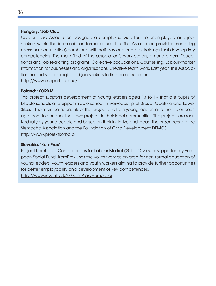#### Hungary: 'Job Club'

Csoport-téka Association designed a complex service for the unemployed and jobseekers within the frame of non-formal education. The Association provides mentoring (personal consultation) combined with half-day and one-day trainings that develop key competencies. The main field of the association's work covers, among others, Educational and job searching programs, Collective occupations, Counselling, Labour-market information for businesses and organisations, Creative team work. Last year, the Association helped several registered job-seekers to find an occupation. http://www.csoportteka.hu/

#### Poland: 'KORBA'

This project supports development of young leaders aged 13 to 19 that are pupils of Middle schools and upper-middle school in Voivodoship of Silesia, Opolskie and Lower Silesia. The main components of the project is to train young leaders and then to encourage them to conduct their own projects in their local communities. The projects are realized fully by young people and based on their initiative and ideas. The organizers are the Siemacha Association and the Foundation of Civic Development DEMOS. http://www.projektkorba.pl

#### Slovakia: 'KomPrax'

Project KomPrax – Competences for Labour Market (2011-2013) was supported by European Social Fund. KomPrax uses the youth work as an area for non-formal education of young leaders, youth leaders and youth workers aiming to provide further opportunities for better employability and development of key competences.

http://www.iuventa.sk/sk/KomPrax/Home.alej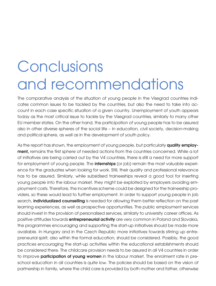## Conclusions and recommendations

The comparative analysis of the situation of young people in the Visegrad countries indicates common issues to be tackled by the countries, but also the need to take into account in each case specific situation of a given country. Unemployment of youth appears today as the most critical issue to tackle by the Visegrad countries, similarly to many other EU member states. On the other hand, the participation of young people has to be assured also in other diverse spheres of the social life – in education, civil society, decision-making and political sphere, as well as in the development of youth policy.

As the report has shown, the employment of young people, but particularly quality employment, remains the first sphere of needed actions from the countries concerned. While a lot of initiatives are being carried out by the V4 countries, there is still a need for more support for employment of young people. The **internships** (or job) remain the most valuable experience for the graduates when looking for work. Still, their quality and professional relevance has to be assured. Similarly, while subsidised traineeships reveal a good tool for inserting young people into the labour market, they might be exploited by employers avoiding employment costs. Therefore, the incentives scheme could be designed for the traineeship providers, so these would lead to further employment. In order to support young people in job search, individualized counselling is needed for allowing them better reflection on the past learning experiences, as well as prospective opportunities. The public employment services should invest in the provision of personalised services, similarly to university career offices. As positive attitudes towards entrepreneurial activity are very common in Poland and Slovakia, the programmes encouraging and supporting the start-up initiatives should be made more available. In Hungary and in the Czech Republic more initiatives towards stirring up entrepreneurial spirit, also within the formal education, should be considered. Possibly, the good practices encouraging the start-up activities within the educational establishments should be considered there. The childcare provision needs to be assured in all V4 countries in order to improve **participation of young women** in the labour market. The enrolment rate in preschool education in all countries is quite low. The policies should be based on the vision of partnership in family, where the child care is provided by both mother and father, otherwise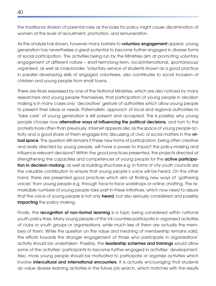the traditional division of parental roles as the basis for policy might cause discrimination of women at the level of recruitment, promotion, and remuneration.

As the analysis has shown, however many barriers to **voluntary engagement** appear, young generation has nevertheless a great potential to become further engaged in diverse forms of social participation. The activities being run by the Ministries aim at promoting voluntary engagement of different nature – short-term/long-term, local/international, spontaneous/ organised, as well as cross-border. Voluntary service of students shown as a good practice in parallel developing skills of engaged volunteers, also contributes to social inclusion of children and young people from small towns.

There are fears expressed by one of the National Ministries, which are also noticed by many researchers and young people themselves, that participation of young people in decision making is in many cases only 'decorative' gesture of authorities which allow young people to present their ideas or needs. Paternalistic approach of local and regional authorities to 'take care' of young generation is still present and accepted. This is possibly why young people choose now alternative ways of influencing the political decisions, and turn to the protests more often than previously. Internet appears also as the space of young people activity and a good share of them engages into discussing of civic or social matters in the virtual space. The question still remains if these new forms of participation, being often creative and really directed by young people, will have a power to impact the policy-making and influence relevant decisions? Within the good practices presented, the projects directed at strengthening the capacities and competences of young people for the **active participa**tion in decision-making*,* as well as building structures e.g. in forms of city youth councils are the valuable contribution to ensure that young people's voice will be heard. On the other hand, there are presented good practices which aim at finding new ways of 'gathering voices' from young people e.g. through face-to-face workshops or online chatting. The remarkable numbers of young people take part in these initiatives, which now need to assure that the voice of young people is not only **heard**, but also seriously considered and possibly impacting the policy making.

Finally, the recognition of non-formal learning is a topic being considered within national youth policy lines. Many young people of the V4 countries participate in organised activities of clubs or youth groups or organisations, while much less of them are actually the members of them. While the question on the value and meaning of membership remains valid, the efforts towards the stronger engagement of those who participate in organisations' activity should be undertaken. Possibly, the **leadership schemes and trainings** would allow some of the activities' participants to become further engaged in activities' development. Also, more young people should be motivated to participate or organise activities which involve **intercultural and international encounters**. It is actually encouraging that students do value diverse learning activities in the future job search, which matches with the results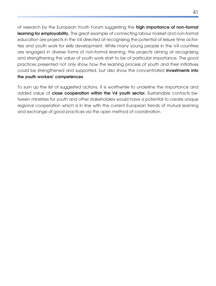of research by the European Youth Forum suggesting the high importance of non-formal learning for employability. The great example of connecting labour market and non-formal education are projects in the V4 directed at recognising the potential of leisure time activities and youth work for skills development. While many young people in the V4 countries are engaged in diverse forms of non-formal learning, the projects aiming at recognising and strengthening the value of youth work start to be of particular importance. The good practices presented not only show how the learning process of youth and their initiatives could be strengthened and supported, but also show the concentrated investments into the youth workers' competences.

To sum up the list of suggested actions, it is worthwhile to underline the importance and added value of close cooperation within the V4 youth sector. Sustainable contacts between ministries for youth and other stakeholders would have a potential to create unique regional cooperation which is in line with the current European trends of mutual learning and exchange of good practices via the open method of coordination.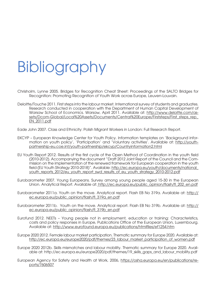## **Bibliography**

- Chrisholm, Lynne 2005. Bridges for Recognition Cheat Sheet: Proceedings of the SALTO Bridges for Recognition: Promoting Recognition of Youth Work across Europe, Leuven-Louvain.
- Deloitte/Touche 2011. First steps into the labour market. International survey of students and graduates. Research conducted in cooperation with the Department of Human Capital Development of Warsaw School of Economics. Warsaw, April 2011. Available at: http://www.deloitte.com/assets/Dcom-Global/Local%20Assets/Documents/Central%20Europe/Firststeps/First\_steps\_rep\_ EN\_2011.pdf
- Eade John 2007. Class and Ethnicity: Polish Migrant Workers in London: Full Research Report.
- EKCYP European Knowledge Center for Youth Policy. Information templates on 'Background information on youth policy', 'Participation' and 'Voluntary activities'. Available at: http://youthpartnership-eu.coe.int/youth-partnership/ekcyp/Countryinformation2.html
- EU Youth Report 2012. Results of the first cycle of the Open Method of Coordination in the youth field (2010-2012). Accompanying the document "Draft 2012 Joint Report of the Council and the Commission on the implementation of the renewed framework for European cooperation in the youth field (EU Youth Strategy 2010-2018)". Available: http://ec.europa.eu/youth/documents/national\_ youth\_reports\_2012/eu\_youth\_report\_swd\_results\_of\_eu\_youth\_strategy\_2010-2012.pdf
- Eurobarometer 2007. Young Europeans. Survey among young people aged 15-30 in the European Union. Analytical Report. Available at: http://ec.europa.eu/public\_opinion/flash/fl\_202\_en.pdf
- Eurobarometer 2011a. Youth on the move. Analytical report. Flash EB No 319a. Available at: http:// ec.europa.eu/public\_opinion/flash/fl\_319a\_en.pdf
- Eurobarometer 2011b. Youth on the move. Analytical report. Flash EB No 319b. Available at: http:// ec.europa.eu/public\_opinion/flash/fl\_319b\_en.pdf
- Eurofund 2012. NEETs Young people not in employment, education or training: Characteristics, costs and policy responses in Europe, Publications Office of the European Union, Luxembourg. Available at: http://www.eurofound.europa.eu/publications/htmlfiles/ef1254.htm
- Europe 2020 2012. Female labour market participation. Thematic summary for Europe 2020. Available at: http://ec.europa.eu/europe2020/pdf/themes/23\_labour\_market\_participation\_of\_women.pdf
- Europe 2020 2012b. Skills mismatches and labour mobility. Thematic summary for Europe 2020. Available at: http://ec.europa.eu/europe2020/pdf/themes/19\_skills\_gaps\_and\_labour\_mobility.pdf
- European Agency for Safety and Health at Work, 2006, https://osha.europa.eu/en/publications/reports/7606507